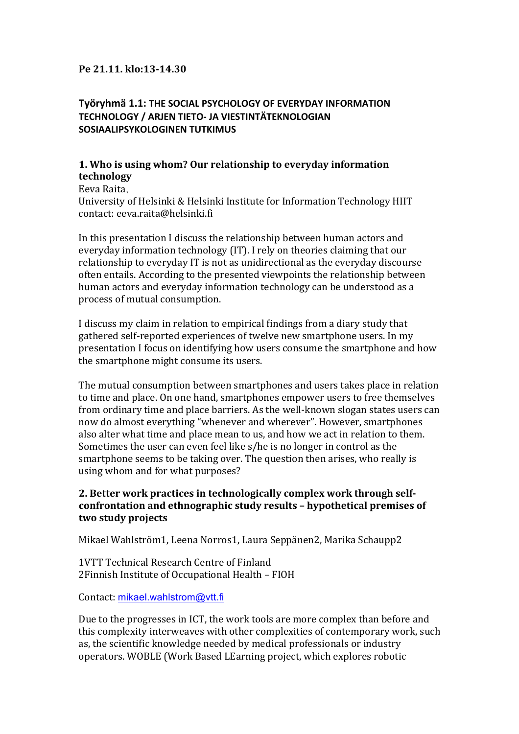### **Pe 21.11. klo:13-14.30**

# **Työryhmä 1.1: THE SOCIAL PSYCHOLOGY OF EVERYDAY INFORMATION TECHNOLOGY / ARJEN TIETO- JA VIESTINTÄTEKNOLOGIAN SOSIAALIPSYKOLOGINEN TUTKIMUS**

## **1. Who is using whom? Our relationship to everyday information technology**

Eeva Raita,

University of Helsinki & Helsinki Institute for Information Technology HIIT contact: eeva.raita@helsinki.fi

In this presentation I discuss the relationship between human actors and everyday information technology (IT). I rely on theories claiming that our relationship to everyday IT is not as unidirectional as the everyday discourse often entails. According to the presented viewpoints the relationship between human actors and everyday information technology can be understood as a process of mutual consumption.

I discuss my claim in relation to empirical findings from a diary study that gathered self-reported experiences of twelve new smartphone users. In my presentation I focus on identifying how users consume the smartphone and how the smartphone might consume its users.

The mutual consumption between smartphones and users takes place in relation to time and place. On one hand, smartphones empower users to free themselves from ordinary time and place barriers. As the well-known slogan states users can now do almost everything "whenever and wherever". However, smartphones also alter what time and place mean to us, and how we act in relation to them. Sometimes the user can even feel like s/he is no longer in control as the smartphone seems to be taking over. The question then arises, who really is using whom and for what purposes?

## 2. Better work practices in technologically complex work through selfconfrontation and ethnographic study results - hypothetical premises of **two study projects**

Mikael Wahlström1, Leena Norros1, Laura Seppänen2, Marika Schaupp2

1VTT Technical Research Centre of Finland 2Finnish Institute of Occupational Health - FIOH

Contact: mikael.wahlstrom@vtt.fi

Due to the progresses in ICT, the work tools are more complex than before and this complexity interweaves with other complexities of contemporary work, such as, the scientific knowledge needed by medical professionals or industry operators. WOBLE (Work Based LEarning project, which explores robotic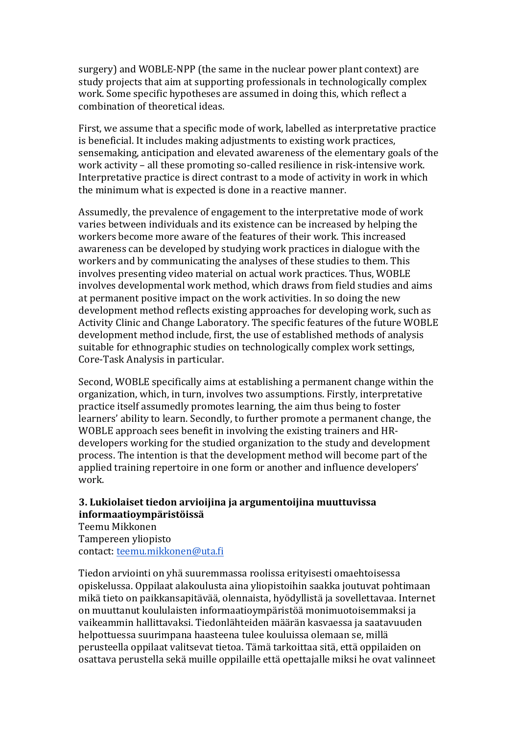surgery) and WOBLE-NPP (the same in the nuclear power plant context) are study projects that aim at supporting professionals in technologically complex work. Some specific hypotheses are assumed in doing this, which reflect a combination of theoretical ideas.

First, we assume that a specific mode of work, labelled as interpretative practice is beneficial. It includes making adjustments to existing work practices, sensemaking, anticipation and elevated awareness of the elementary goals of the work activity - all these promoting so-called resilience in risk-intensive work. Interpretative practice is direct contrast to a mode of activity in work in which the minimum what is expected is done in a reactive manner.

Assumedly, the prevalence of engagement to the interpretative mode of work varies between individuals and its existence can be increased by helping the workers become more aware of the features of their work. This increased awareness can be developed by studying work practices in dialogue with the workers and by communicating the analyses of these studies to them. This involves presenting video material on actual work practices. Thus, WOBLE involves developmental work method, which draws from field studies and aims at permanent positive impact on the work activities. In so doing the new development method reflects existing approaches for developing work, such as Activity Clinic and Change Laboratory. The specific features of the future WOBLE development method include, first, the use of established methods of analysis suitable for ethnographic studies on technologically complex work settings, Core-Task Analysis in particular.

Second, WOBLE specifically aims at establishing a permanent change within the organization, which, in turn, involves two assumptions. Firstly, interpretative practice itself assumedly promotes learning, the aim thus being to foster learners' ability to learn. Secondly, to further promote a permanent change, the WOBLE approach sees benefit in involving the existing trainers and HRdevelopers working for the studied organization to the study and development process. The intention is that the development method will become part of the applied training repertoire in one form or another and influence developers' work.

### **3. Lukiolaiset tiedon arvioijina ja argumentoijina muuttuvissa informaatioympäristöissä**

Teemu Mikkonen Tampereen yliopisto contact: teemu.mikkonen@uta.fi

Tiedon arviointi on yhä suuremmassa roolissa erityisesti omaehtoisessa opiskelussa. Oppilaat alakoulusta aina yliopistoihin saakka joutuvat pohtimaan mikä tieto on paikkansapitävää, olennaista, hyödyllistä ja sovellettavaa, Internet on muuttanut koululaisten informaatioympäristöä monimuotoisemmaksi ja vaikeammin hallittavaksi. Tiedonlähteiden määrän kasvaessa ja saatavuuden helpottuessa suurimpana haasteena tulee kouluissa olemaan se, millä perusteella oppilaat valitsevat tietoa. Tämä tarkoittaa sitä, että oppilaiden on osattava perustella sekä muille oppilaille että opettajalle miksi he ovat valinneet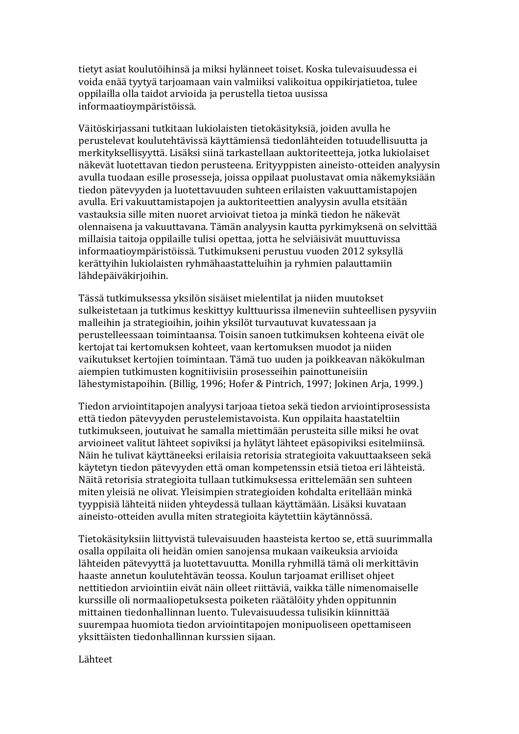tietyt asiat koulutöihinsä ja miksi hylänneet toiset. Koska tulevaisuudessa ei voida enää tyytyä tarjoamaan vain valmiiksi valikoitua oppikirjatietoa, tulee oppilailla olla taidot arvioida ja perustella tietoa uusissa informaatioympäristöissä.

Väitöskirjassani tutkitaan lukiolaisten tietokäsityksiä, joiden avulla he perustelevat koulutehtävissä käyttämiensä tiedonlähteiden totuudellisuutta ja merkityksellisyyttä. Lisäksi siinä tarkastellaan auktoriteetteja, jotka lukiolaiset näkevät luotettavan tiedon perusteena. Erityyppisten aineisto-otteiden analyysin avulla tuodaan esille prosesseja, joissa oppilaat puolustavat omia näkemyksiään tiedon pätevyyden ja luotettavuuden suhteen erilaisten vakuuttamistapojen avulla. Eri vakuuttamistapojen ja auktoriteettien analyysin avulla etsitään vastauksia sille miten nuoret arvioivat tietoa ja minkä tiedon he näkevät olennaisena ja vakuuttavana. Tämän analyysin kautta pyrkimyksenä on selvittää millaisia taitoja oppilaille tulisi opettaa, jotta he selviäisivät muuttuvissa informaatioympäristöissä. Tutkimukseni perustuu vuoden 2012 syksyllä kerättyihin lukiolaisten ryhmähaastatteluihin ja ryhmien palauttamiin lähdepäiväkirjoihin.

Tässä tutkimuksessa yksilön sisäiset mielentilat ja niiden muutokset sulkeistetaan ja tutkimus keskittyy kulttuurissa ilmeneviin suhteellisen pysyviin malleihin ja strategioihin, joihin yksilöt turvautuvat kuvatessaan ja perustelleessaan toimintaansa. Toisin sanoen tutkimuksen kohteena eivät ole kertojat tai kertomuksen kohteet, vaan kertomuksen muodot ja niiden vaikutukset kertojien toimintaan. Tämä tuo uuden ja poikkeavan näkökulman aiempien tutkimusten kognitiivisiin prosesseihin painottuneisiin lähestymistapoihin. (Billig, 1996; Hofer & Pintrich, 1997; Jokinen Arja, 1999.)

Tiedon arviointitapojen analyysi tarjoaa tietoa sekä tiedon arviointiprosessista että tiedon pätevyyden perustelemistavoista. Kun oppilaita haastateltiin tutkimukseen, joutuivat he samalla miettimään perusteita sille miksi he ovat arvioineet valitut lähteet sopiviksi ja hylätyt lähteet epäsopiviksi esitelmiinsä. Näin he tulivat käyttäneeksi erilaisia retorisia strategioita vakuuttaakseen sekä käytetyn tiedon pätevyyden että oman kompetenssin etsiä tietoa eri lähteistä. Näitä retorisia strategioita tullaan tutkimuksessa erittelemään sen suhteen miten yleisiä ne olivat. Yleisimpien strategioiden kohdalta eritellään minkä tyyppisiä lähteitä niiden yhteydessä tullaan käyttämään. Lisäksi kuvataan aineisto-otteiden avulla miten strategioita käytettiin käytännössä.

Tietokäsityksiin liittyvistä tulevaisuuden haasteista kertoo se, että suurimmalla osalla oppilaita oli heidän omien sanojensa mukaan vaikeuksia arvioida lähteiden pätevyyttä ja luotettavuutta. Monilla ryhmillä tämä oli merkittävin haaste annetun koulutehtävän teossa. Koulun tarjoamat erilliset ohjeet nettitiedon arviointiin eivät näin olleet riittäviä, vaikka tälle nimenomaiselle kurssille oli normaaliopetuksesta poiketen räätälöity yhden oppitunnin mittainen tiedonhallinnan luento. Tulevaisuudessa tulisikin kiinnittää suurempaa huomiota tiedon arviointitapojen monipuoliseen opettamiseen yksittäisten tiedonhallinnan kurssien sijaan.

Lähteet